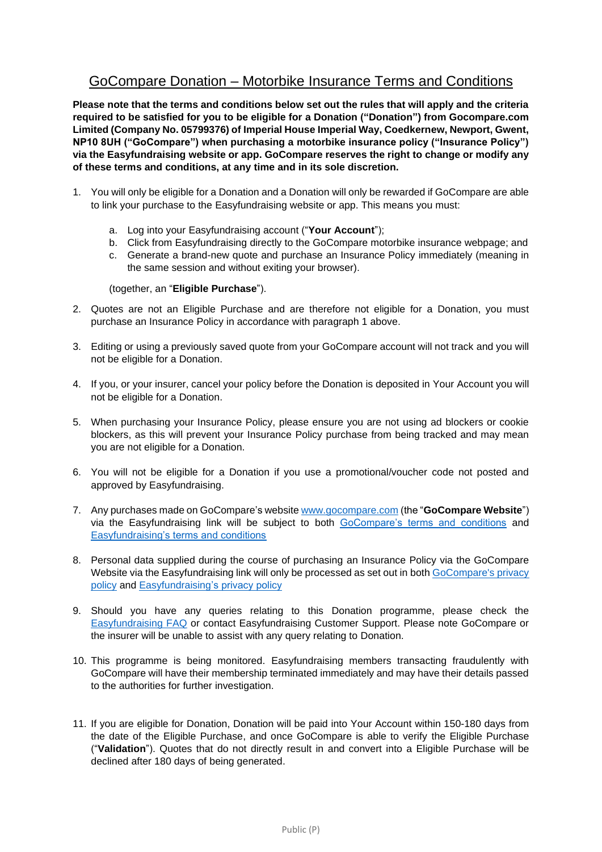## GoCompare Donation – Motorbike Insurance Terms and Conditions

**Please note that the terms and conditions below set out the rules that will apply and the criteria required to be satisfied for you to be eligible for a Donation ("Donation") from Gocompare.com Limited (Company No. 05799376) of Imperial House Imperial Way, Coedkernew, Newport, Gwent, NP10 8UH ("GoCompare") when purchasing a motorbike insurance policy ("Insurance Policy") via the Easyfundraising website or app. GoCompare reserves the right to change or modify any of these terms and conditions, at any time and in its sole discretion.**

- 1. You will only be eligible for a Donation and a Donation will only be rewarded if GoCompare are able to link your purchase to the Easyfundraising website or app. This means you must:
	- a. Log into your Easyfundraising account ("**Your Account**");
	- b. Click from Easyfundraising directly to the GoCompare motorbike insurance webpage; and
	- c. Generate a brand-new quote and purchase an Insurance Policy immediately (meaning in the same session and without exiting your browser).

(together, an "**Eligible Purchase**").

- 2. Quotes are not an Eligible Purchase and are therefore not eligible for a Donation, you must purchase an Insurance Policy in accordance with paragraph 1 above.
- 3. Editing or using a previously saved quote from your GoCompare account will not track and you will not be eligible for a Donation.
- 4. If you, or your insurer, cancel your policy before the Donation is deposited in Your Account you will not be eligible for a Donation.
- 5. When purchasing your Insurance Policy, please ensure you are not using ad blockers or cookie blockers, as this will prevent your Insurance Policy purchase from being tracked and may mean you are not eligible for a Donation.
- 6. You will not be eligible for a Donation if you use a promotional/voucher code not posted and approved by Easyfundraising.
- 7. Any purchases made on GoCompare's website [www.gocompare.com](http://www.gocompare.com/) (the "**GoCompare Website**") via the Easyfundraising link will be subject to both [GoCompare's terms and conditions](https://www.gocompare.com/about/terms/) and [Easyfundraising's terms and conditions](https://www.easyfundraising.org.uk/terms/website/)
- 8. Personal data supplied during the course of purchasing an Insurance Policy via the GoCompare Website via the Easyfundraising link will only be processed as set out in both GoCompare's privacy [policy](https://www.gocompare.com/about/privacy/) and [Easyfundraising's privacy policy](https://www.easyfundraising.org.uk/privacy/)
- 9. Should you have any queries relating to this Donation programme, please check the [Easyfundraising](https://support.easyfundraising.org.uk/hc/en-gb) FAQ or contact Easyfundraising Customer Support. Please note GoCompare or the insurer will be unable to assist with any query relating to Donation.
- 10. This programme is being monitored. Easyfundraising members transacting fraudulently with GoCompare will have their membership terminated immediately and may have their details passed to the authorities for further investigation.
- 11. If you are eligible for Donation, Donation will be paid into Your Account within 150-180 days from the date of the Eligible Purchase, and once GoCompare is able to verify the Eligible Purchase ("**Validation**"). Quotes that do not directly result in and convert into a Eligible Purchase will be declined after 180 days of being generated.